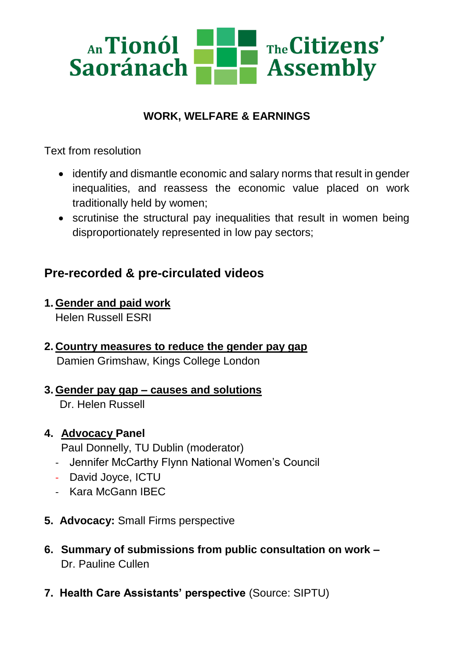

## **WORK, WELFARE & EARNINGS**

Text from resolution

- identify and dismantle economic and salary norms that result in gender inequalities, and reassess the economic value placed on work traditionally held by women;
- scrutinise the structural pay inequalities that result in women being disproportionately represented in low pay sectors;

## **Pre-recorded & pre-circulated videos**

- **1. Gender and paid work**  Helen Russell ESRI
- **2. Country measures to reduce the gender pay gap** Damien Grimshaw, Kings College London
- **3. Gender pay gap – causes and solutions** Dr. Helen Russell
- **4. Advocacy Panel**
	- Paul Donnelly, TU Dublin (moderator)
	- Jennifer McCarthy Flynn National Women's Council
	- David Joyce, ICTU
	- Kara McGann IBEC
- **5. Advocacy:** Small Firms perspective
- **6. Summary of submissions from public consultation on work –** Dr. Pauline Cullen
- **7. Health Care Assistants' perspective** (Source: SIPTU)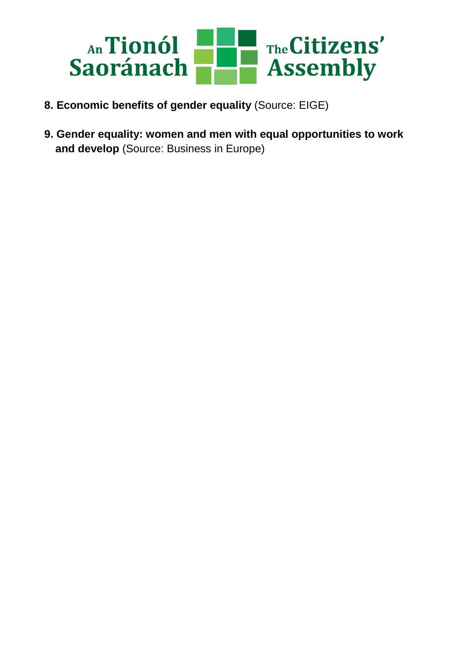

- **8. Economic benefits of gender equality** (Source: EIGE)
- **9. Gender equality: women and men with equal opportunities to work and develop** (Source: Business in Europe)